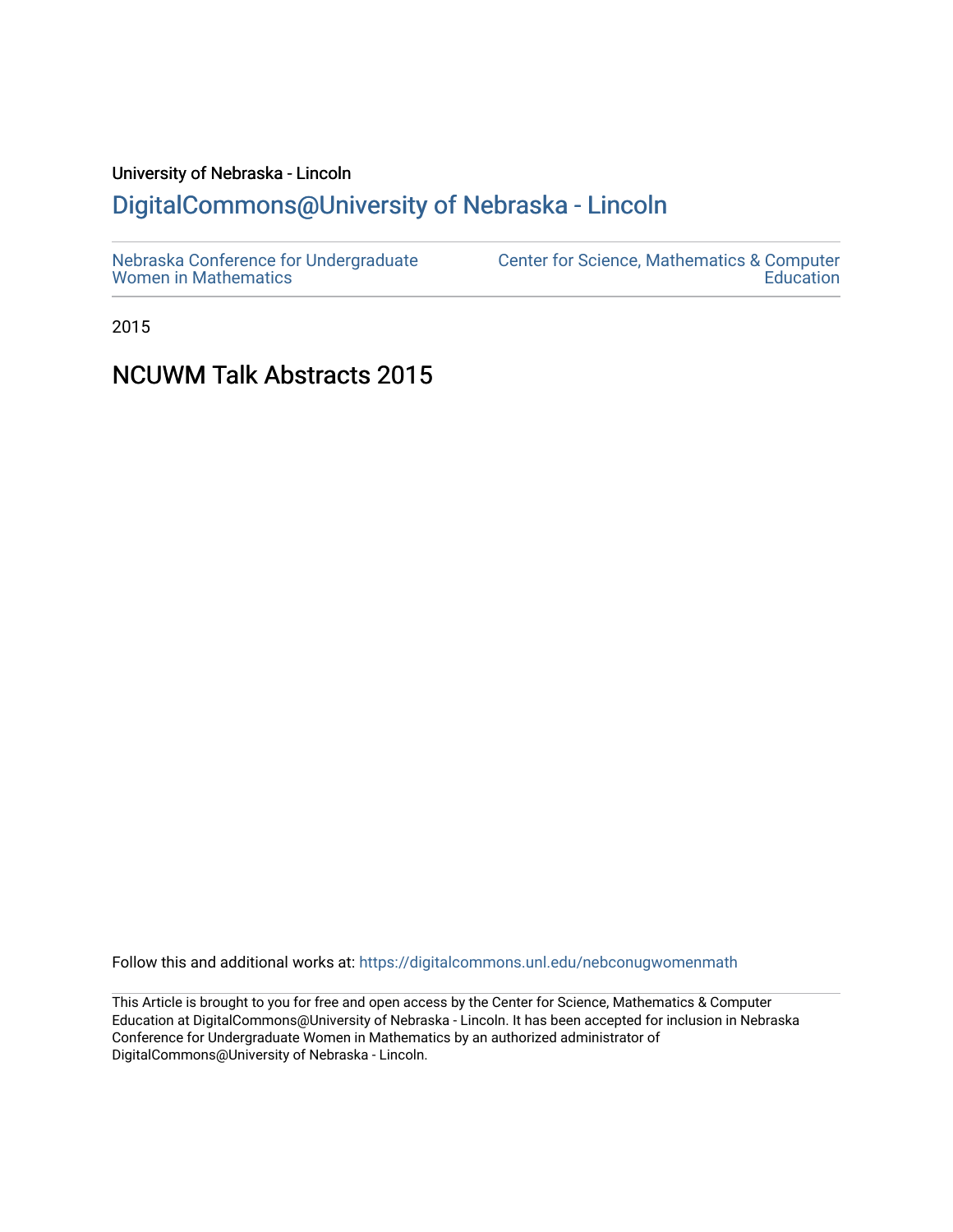# University of Nebraska - Lincoln [DigitalCommons@University of Nebraska - Lincoln](https://digitalcommons.unl.edu/)

2015

# NCUWM Talk Abstracts 2015

Follow this and additional works at: [https://digitalcommons.unl.edu/nebconugwomenmath](https://digitalcommons.unl.edu/nebconugwomenmath?utm_source=digitalcommons.unl.edu%2Fnebconugwomenmath%2F20&utm_medium=PDF&utm_campaign=PDFCoverPages)

This Article is brought to you for free and open access by the Center for Science, Mathematics & Computer Education at DigitalCommons@University of Nebraska - Lincoln. It has been accepted for inclusion in Nebraska Conference for Undergraduate Women in Mathematics by an authorized administrator of DigitalCommons@University of Nebraska - Lincoln.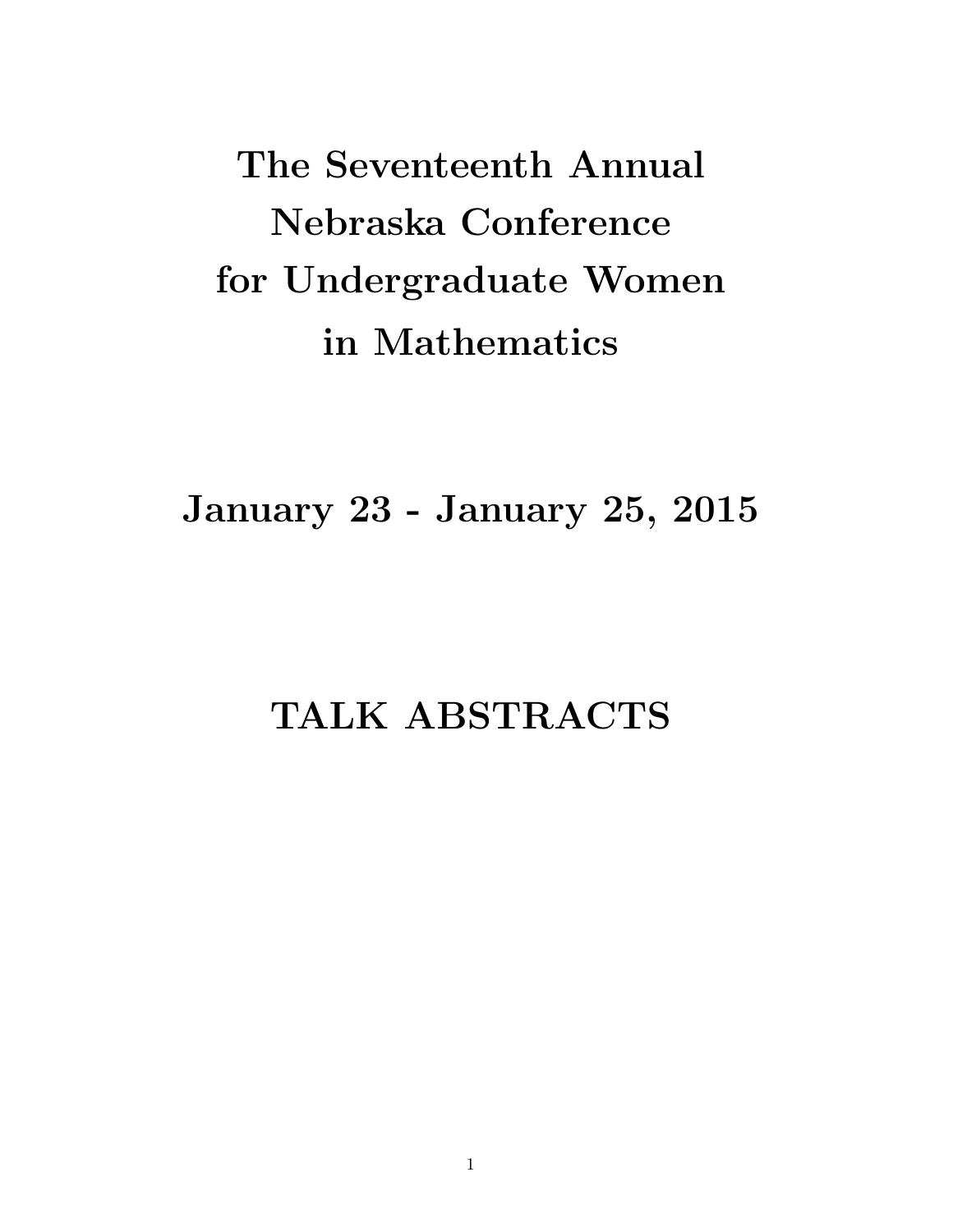The Seventeenth Annual Nebraska Conference for Undergraduate Women in Mathematics

January 23 - January 25, 2015

# TALK ABSTRACTS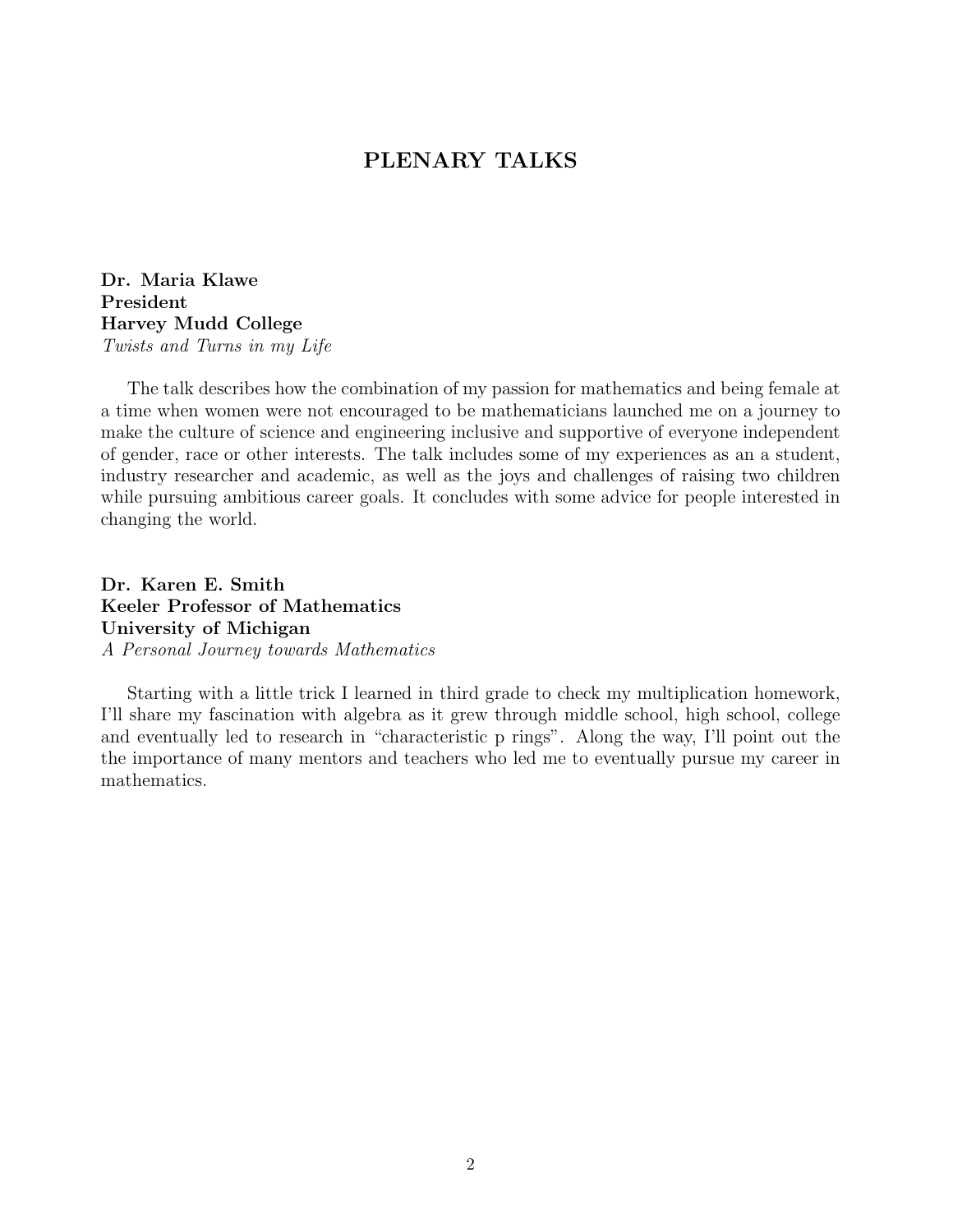## PLENARY TALKS

Dr. Maria Klawe President Harvey Mudd College Twists and Turns in my Life

The talk describes how the combination of my passion for mathematics and being female at a time when women were not encouraged to be mathematicians launched me on a journey to make the culture of science and engineering inclusive and supportive of everyone independent of gender, race or other interests. The talk includes some of my experiences as an a student, industry researcher and academic, as well as the joys and challenges of raising two children while pursuing ambitious career goals. It concludes with some advice for people interested in changing the world.

Dr. Karen E. Smith Keeler Professor of Mathematics University of Michigan A Personal Journey towards Mathematics

Starting with a little trick I learned in third grade to check my multiplication homework, I'll share my fascination with algebra as it grew through middle school, high school, college and eventually led to research in "characteristic p rings". Along the way, I'll point out the the importance of many mentors and teachers who led me to eventually pursue my career in mathematics.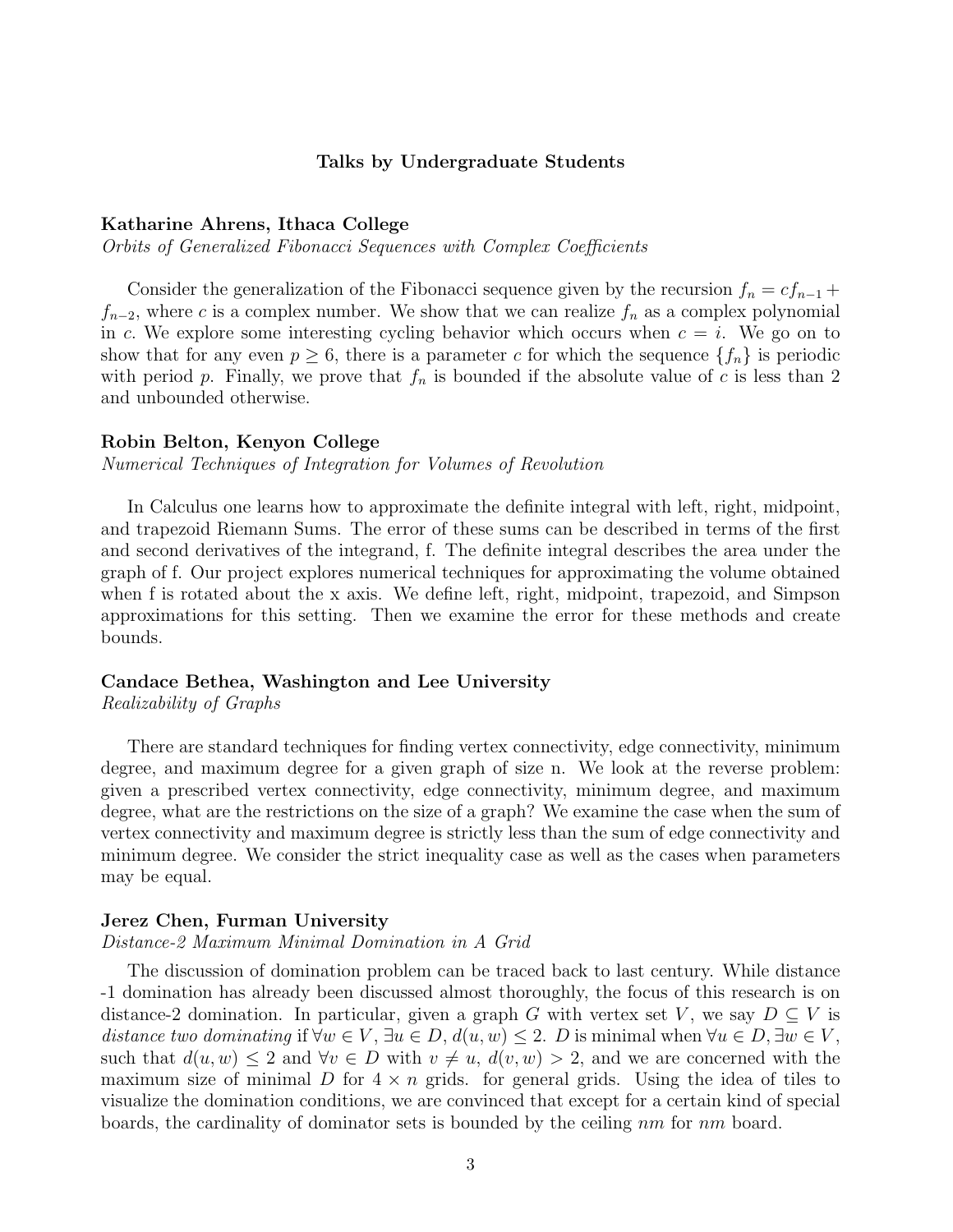#### Talks by Undergraduate Students

#### Katharine Ahrens, Ithaca College

Orbits of Generalized Fibonacci Sequences with Complex Coefficients

Consider the generalization of the Fibonacci sequence given by the recursion  $f_n = cf_{n-1}$  +  $f_{n-2}$ , where c is a complex number. We show that we can realize  $f_n$  as a complex polynomial in c. We explore some interesting cycling behavior which occurs when  $c = i$ . We go on to show that for any even  $p \geq 6$ , there is a parameter c for which the sequence  $\{f_n\}$  is periodic with period p. Finally, we prove that  $f_n$  is bounded if the absolute value of c is less than 2 and unbounded otherwise.

#### Robin Belton, Kenyon College

Numerical Techniques of Integration for Volumes of Revolution

In Calculus one learns how to approximate the definite integral with left, right, midpoint, and trapezoid Riemann Sums. The error of these sums can be described in terms of the first and second derivatives of the integrand, f. The definite integral describes the area under the graph of f. Our project explores numerical techniques for approximating the volume obtained when f is rotated about the x axis. We define left, right, midpoint, trapezoid, and Simpson approximations for this setting. Then we examine the error for these methods and create bounds.

#### Candace Bethea, Washington and Lee University

Realizability of Graphs

There are standard techniques for finding vertex connectivity, edge connectivity, minimum degree, and maximum degree for a given graph of size n. We look at the reverse problem: given a prescribed vertex connectivity, edge connectivity, minimum degree, and maximum degree, what are the restrictions on the size of a graph? We examine the case when the sum of vertex connectivity and maximum degree is strictly less than the sum of edge connectivity and minimum degree. We consider the strict inequality case as well as the cases when parameters may be equal.

#### Jerez Chen, Furman University

#### Distance-2 Maximum Minimal Domination in A Grid

The discussion of domination problem can be traced back to last century. While distance -1 domination has already been discussed almost thoroughly, the focus of this research is on distance-2 domination. In particular, given a graph G with vertex set V, we say  $D \subseteq V$  is distance two dominating if  $\forall w \in V$ ,  $\exists u \in D$ ,  $d(u, w) \leq 2$ . D is minimal when  $\forall u \in D$ ,  $\exists w \in V$ , such that  $d(u, w) \leq 2$  and  $\forall v \in D$  with  $v \neq u$ ,  $d(v, w) > 2$ , and we are concerned with the maximum size of minimal D for  $4 \times n$  grids. for general grids. Using the idea of tiles to visualize the domination conditions, we are convinced that except for a certain kind of special boards, the cardinality of dominator sets is bounded by the ceiling nm for nm board.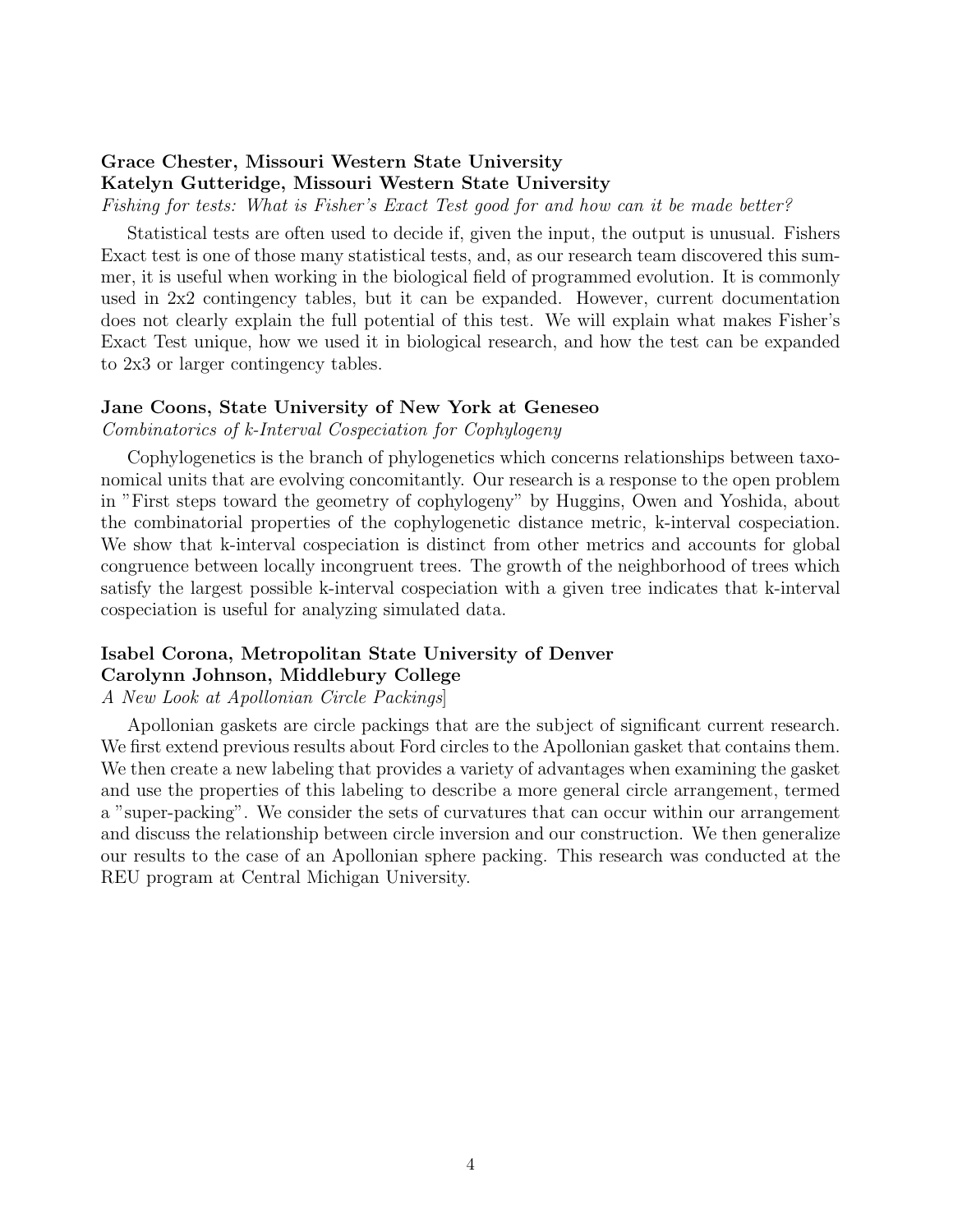## Grace Chester, Missouri Western State University Katelyn Gutteridge, Missouri Western State University

Fishing for tests: What is Fisher's Exact Test good for and how can it be made better?

Statistical tests are often used to decide if, given the input, the output is unusual. Fishers Exact test is one of those many statistical tests, and, as our research team discovered this summer, it is useful when working in the biological field of programmed evolution. It is commonly used in 2x2 contingency tables, but it can be expanded. However, current documentation does not clearly explain the full potential of this test. We will explain what makes Fisher's Exact Test unique, how we used it in biological research, and how the test can be expanded to 2x3 or larger contingency tables.

#### Jane Coons, State University of New York at Geneseo

Combinatorics of k-Interval Cospeciation for Cophylogeny

Cophylogenetics is the branch of phylogenetics which concerns relationships between taxonomical units that are evolving concomitantly. Our research is a response to the open problem in "First steps toward the geometry of cophylogeny" by Huggins, Owen and Yoshida, about the combinatorial properties of the cophylogenetic distance metric, k-interval cospeciation. We show that k-interval cospeciation is distinct from other metrics and accounts for global congruence between locally incongruent trees. The growth of the neighborhood of trees which satisfy the largest possible k-interval cospeciation with a given tree indicates that k-interval cospeciation is useful for analyzing simulated data.

## Isabel Corona, Metropolitan State University of Denver Carolynn Johnson, Middlebury College

#### A New Look at Apollonian Circle Packings]

Apollonian gaskets are circle packings that are the subject of significant current research. We first extend previous results about Ford circles to the Apollonian gasket that contains them. We then create a new labeling that provides a variety of advantages when examining the gasket and use the properties of this labeling to describe a more general circle arrangement, termed a "super-packing". We consider the sets of curvatures that can occur within our arrangement and discuss the relationship between circle inversion and our construction. We then generalize our results to the case of an Apollonian sphere packing. This research was conducted at the REU program at Central Michigan University.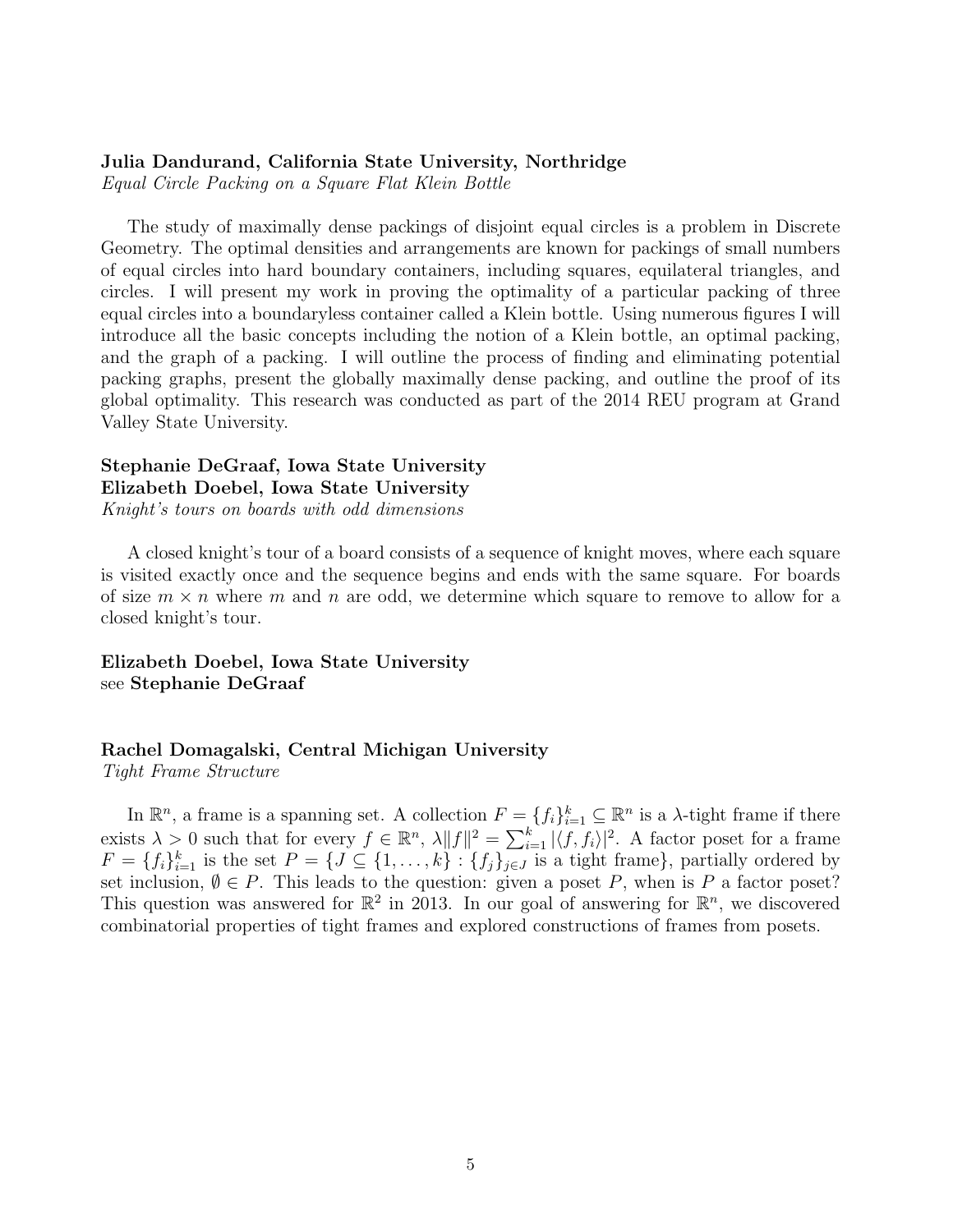#### Julia Dandurand, California State University, Northridge

Equal Circle Packing on a Square Flat Klein Bottle

The study of maximally dense packings of disjoint equal circles is a problem in Discrete Geometry. The optimal densities and arrangements are known for packings of small numbers of equal circles into hard boundary containers, including squares, equilateral triangles, and circles. I will present my work in proving the optimality of a particular packing of three equal circles into a boundaryless container called a Klein bottle. Using numerous figures I will introduce all the basic concepts including the notion of a Klein bottle, an optimal packing, and the graph of a packing. I will outline the process of finding and eliminating potential packing graphs, present the globally maximally dense packing, and outline the proof of its global optimality. This research was conducted as part of the 2014 REU program at Grand Valley State University.

# Stephanie DeGraaf, Iowa State University Elizabeth Doebel, Iowa State University

Knight's tours on boards with odd dimensions

A closed knight's tour of a board consists of a sequence of knight moves, where each square is visited exactly once and the sequence begins and ends with the same square. For boards of size  $m \times n$  where m and n are odd, we determine which square to remove to allow for a closed knight's tour.

Elizabeth Doebel, Iowa State University see Stephanie DeGraaf

#### Rachel Domagalski, Central Michigan University

Tight Frame Structure

In  $\mathbb{R}^n$ , a frame is a spanning set. A collection  $F = \{f_i\}_{i=1}^k \subseteq \mathbb{R}^n$  is a  $\lambda$ -tight frame if there exists  $\lambda > 0$  such that for every  $f \in \mathbb{R}^n$ ,  $\lambda ||f||^2 = \sum_{i=1}^k |\langle f, f_i \rangle|^2$ . A factor poset for a frame  $F = \{f_i\}_{i=1}^k$  is the set  $P = \{J \subseteq \{1, \ldots, k\} : \{f_j\}_{j \in J}$  is a tight frame}, partially ordered by set inclusion,  $\emptyset \in P$ . This leads to the question: given a poset P, when is P a factor poset? This question was answered for  $\mathbb{R}^2$  in 2013. In our goal of answering for  $\mathbb{R}^n$ , we discovered combinatorial properties of tight frames and explored constructions of frames from posets.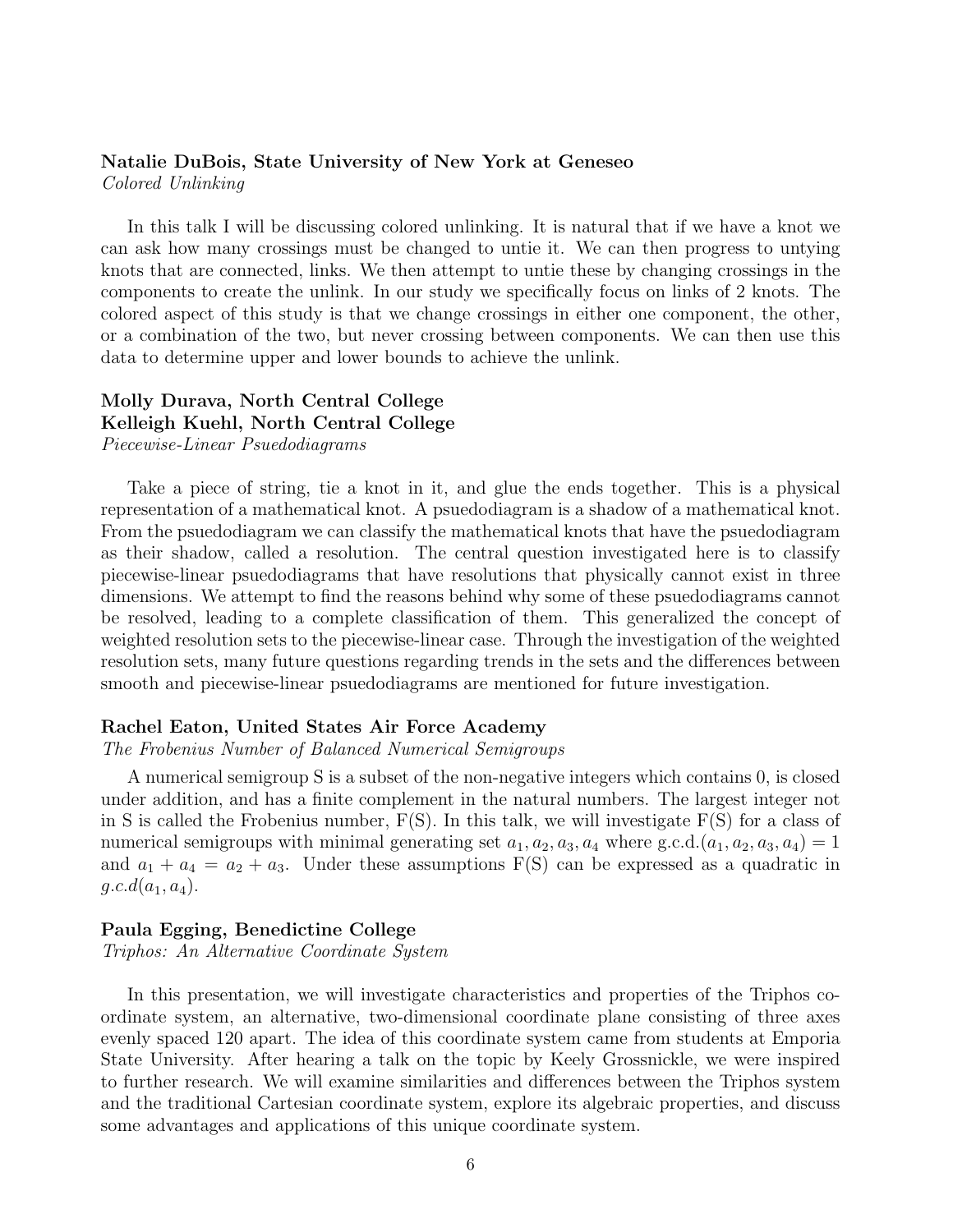#### Natalie DuBois, State University of New York at Geneseo Colored Unlinking

In this talk I will be discussing colored unlinking. It is natural that if we have a knot we can ask how many crossings must be changed to untie it. We can then progress to untying knots that are connected, links. We then attempt to untie these by changing crossings in the components to create the unlink. In our study we specifically focus on links of 2 knots. The colored aspect of this study is that we change crossings in either one component, the other, or a combination of the two, but never crossing between components. We can then use this data to determine upper and lower bounds to achieve the unlink.

## Molly Durava, North Central College Kelleigh Kuehl, North Central College

Piecewise-Linear Psuedodiagrams

Take a piece of string, tie a knot in it, and glue the ends together. This is a physical representation of a mathematical knot. A psuedodiagram is a shadow of a mathematical knot. From the psuedodiagram we can classify the mathematical knots that have the psuedodiagram as their shadow, called a resolution. The central question investigated here is to classify piecewise-linear psuedodiagrams that have resolutions that physically cannot exist in three dimensions. We attempt to find the reasons behind why some of these psuedodiagrams cannot be resolved, leading to a complete classification of them. This generalized the concept of weighted resolution sets to the piecewise-linear case. Through the investigation of the weighted resolution sets, many future questions regarding trends in the sets and the differences between smooth and piecewise-linear psuedodiagrams are mentioned for future investigation.

#### Rachel Eaton, United States Air Force Academy

The Frobenius Number of Balanced Numerical Semigroups

A numerical semigroup S is a subset of the non-negative integers which contains 0, is closed under addition, and has a finite complement in the natural numbers. The largest integer not in S is called the Frobenius number, F(S). In this talk, we will investigate F(S) for a class of numerical semigroups with minimal generating set  $a_1, a_2, a_3, a_4$  where g.c.d. $(a_1, a_2, a_3, a_4) = 1$ and  $a_1 + a_4 = a_2 + a_3$ . Under these assumptions  $F(S)$  can be expressed as a quadratic in  $q.c.d(a_1, a_4).$ 

#### Paula Egging, Benedictine College

Triphos: An Alternative Coordinate System

In this presentation, we will investigate characteristics and properties of the Triphos coordinate system, an alternative, two-dimensional coordinate plane consisting of three axes evenly spaced 120 apart. The idea of this coordinate system came from students at Emporia State University. After hearing a talk on the topic by Keely Grossnickle, we were inspired to further research. We will examine similarities and differences between the Triphos system and the traditional Cartesian coordinate system, explore its algebraic properties, and discuss some advantages and applications of this unique coordinate system.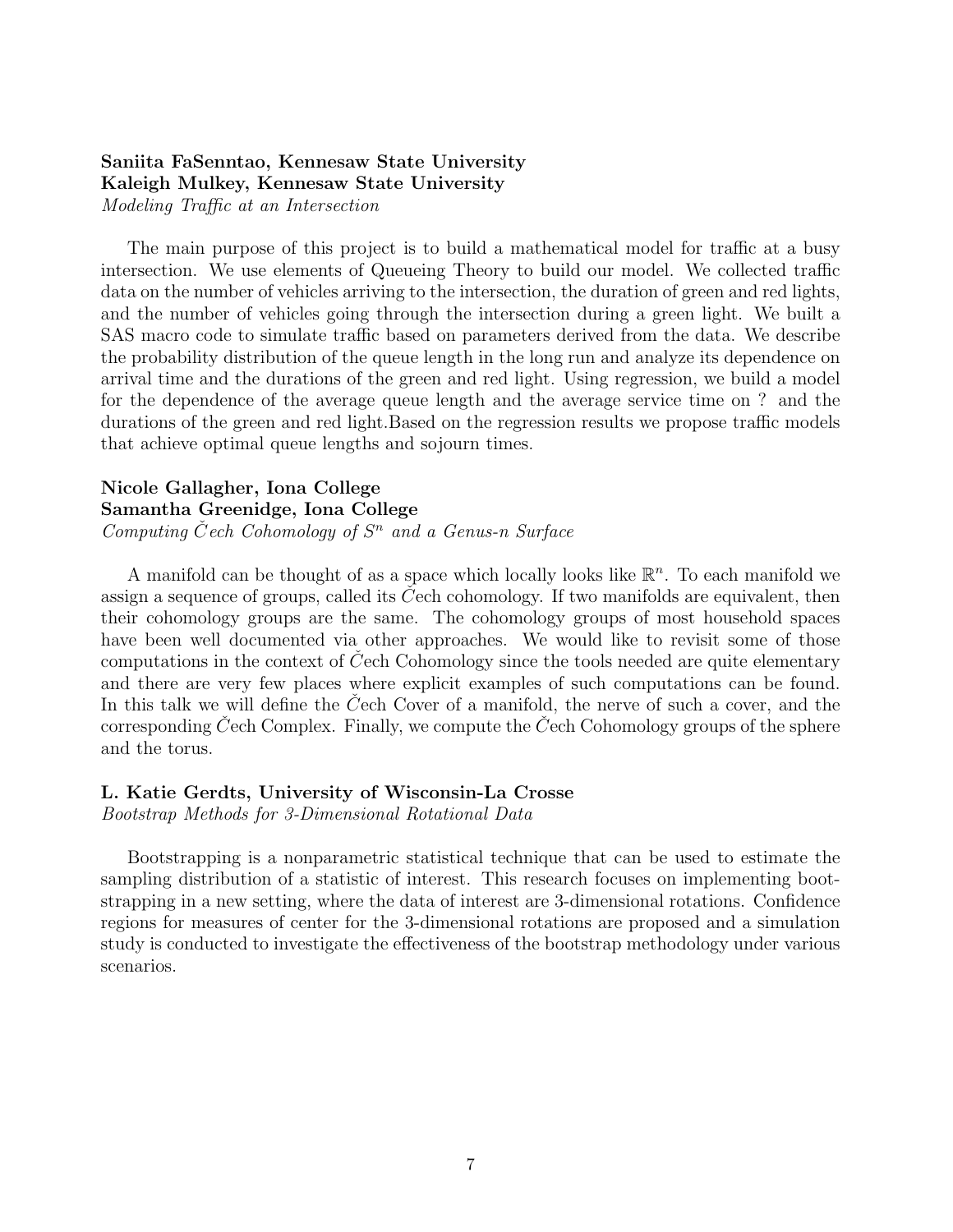## Saniita FaSenntao, Kennesaw State University Kaleigh Mulkey, Kennesaw State University

Modeling Traffic at an Intersection

The main purpose of this project is to build a mathematical model for traffic at a busy intersection. We use elements of Queueing Theory to build our model. We collected traffic data on the number of vehicles arriving to the intersection, the duration of green and red lights, and the number of vehicles going through the intersection during a green light. We built a SAS macro code to simulate traffic based on parameters derived from the data. We describe the probability distribution of the queue length in the long run and analyze its dependence on arrival time and the durations of the green and red light. Using regression, we build a model for the dependence of the average queue length and the average service time on ? and the durations of the green and red light.Based on the regression results we propose traffic models that achieve optimal queue lengths and sojourn times.

## Nicole Gallagher, Iona College Samantha Greenidge, Iona College Computing Čech Cohomology of  $S<sup>n</sup>$  and a Genus-n Surface

A manifold can be thought of as a space which locally looks like  $\mathbb{R}^n$ . To each manifold we assign a sequence of groups, called its Cech cohomology. If two manifolds are equivalent, then their cohomology groups are the same. The cohomology groups of most household spaces have been well documented via other approaches. We would like to revisit some of those computations in the context of Cech Cohomology since the tools needed are quite elementary and there are very few places where explicit examples of such computations can be found. In this talk we will define the Cech Cover of a manifold, the nerve of such a cover, and the corresponding C $\chi$ ech Complex. Finally, we compute the C $\chi$ ech Cohomology groups of the sphere and the torus.

#### L. Katie Gerdts, University of Wisconsin-La Crosse

Bootstrap Methods for 3-Dimensional Rotational Data

Bootstrapping is a nonparametric statistical technique that can be used to estimate the sampling distribution of a statistic of interest. This research focuses on implementing bootstrapping in a new setting, where the data of interest are 3-dimensional rotations. Confidence regions for measures of center for the 3-dimensional rotations are proposed and a simulation study is conducted to investigate the effectiveness of the bootstrap methodology under various scenarios.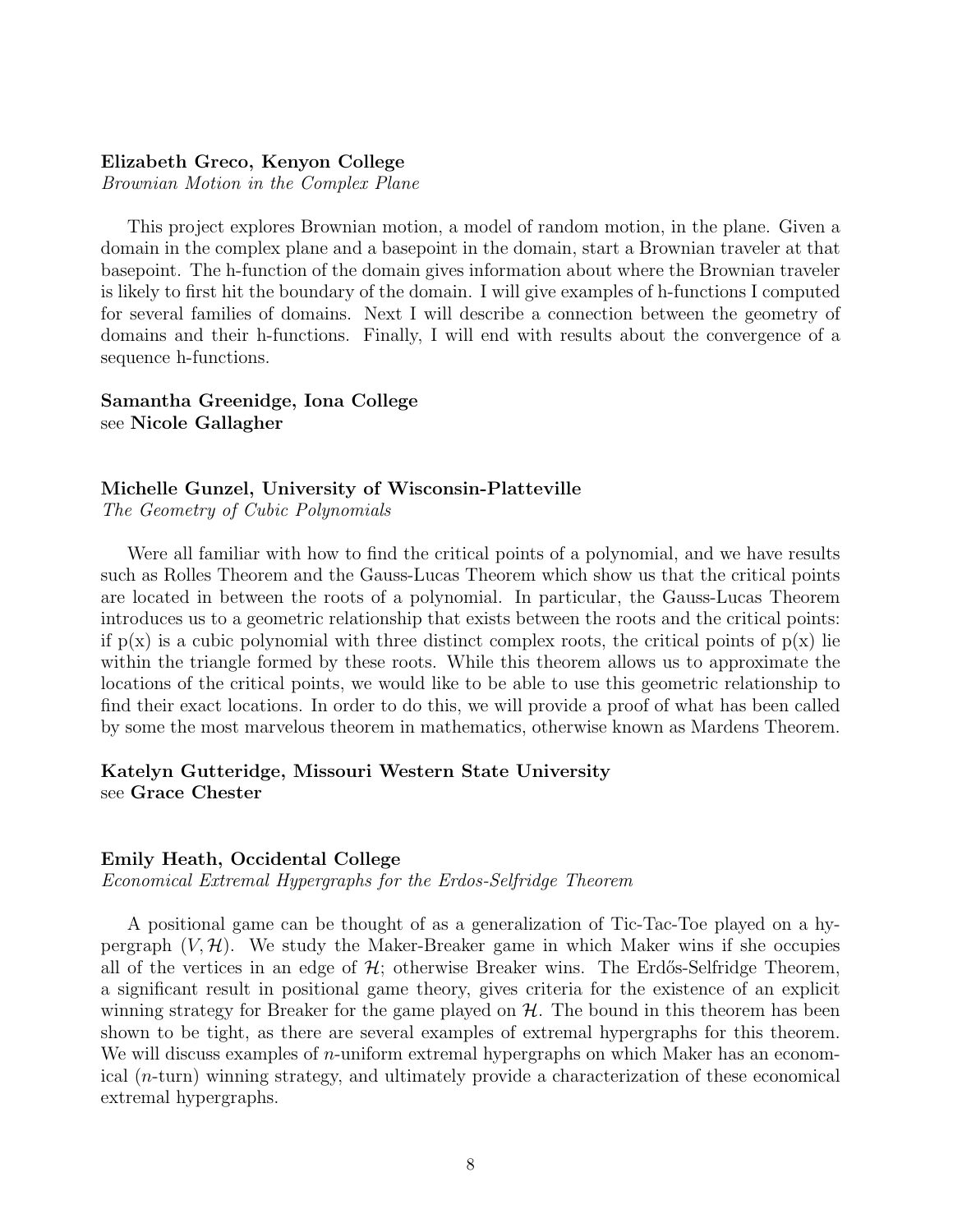#### Elizabeth Greco, Kenyon College

Brownian Motion in the Complex Plane

This project explores Brownian motion, a model of random motion, in the plane. Given a domain in the complex plane and a basepoint in the domain, start a Brownian traveler at that basepoint. The h-function of the domain gives information about where the Brownian traveler is likely to first hit the boundary of the domain. I will give examples of h-functions I computed for several families of domains. Next I will describe a connection between the geometry of domains and their h-functions. Finally, I will end with results about the convergence of a sequence h-functions.

#### Samantha Greenidge, Iona College see Nicole Gallagher

#### Michelle Gunzel, University of Wisconsin-Platteville

The Geometry of Cubic Polynomials

Were all familiar with how to find the critical points of a polynomial, and we have results such as Rolles Theorem and the Gauss-Lucas Theorem which show us that the critical points are located in between the roots of a polynomial. In particular, the Gauss-Lucas Theorem introduces us to a geometric relationship that exists between the roots and the critical points: if  $p(x)$  is a cubic polynomial with three distinct complex roots, the critical points of  $p(x)$  lie within the triangle formed by these roots. While this theorem allows us to approximate the locations of the critical points, we would like to be able to use this geometric relationship to find their exact locations. In order to do this, we will provide a proof of what has been called by some the most marvelous theorem in mathematics, otherwise known as Mardens Theorem.

#### Katelyn Gutteridge, Missouri Western State University see Grace Chester

#### Emily Heath, Occidental College

Economical Extremal Hypergraphs for the Erdos-Selfridge Theorem

A positional game can be thought of as a generalization of Tic-Tac-Toe played on a hypergraph  $(V, \mathcal{H})$ . We study the Maker-Breaker game in which Maker wins if she occupies all of the vertices in an edge of  $\mathcal{H}$ ; otherwise Breaker wins. The Erdős-Selfridge Theorem, a significant result in positional game theory, gives criteria for the existence of an explicit winning strategy for Breaker for the game played on  $H$ . The bound in this theorem has been shown to be tight, as there are several examples of extremal hypergraphs for this theorem. We will discuss examples of *n*-uniform extremal hypergraphs on which Maker has an economical (n-turn) winning strategy, and ultimately provide a characterization of these economical extremal hypergraphs.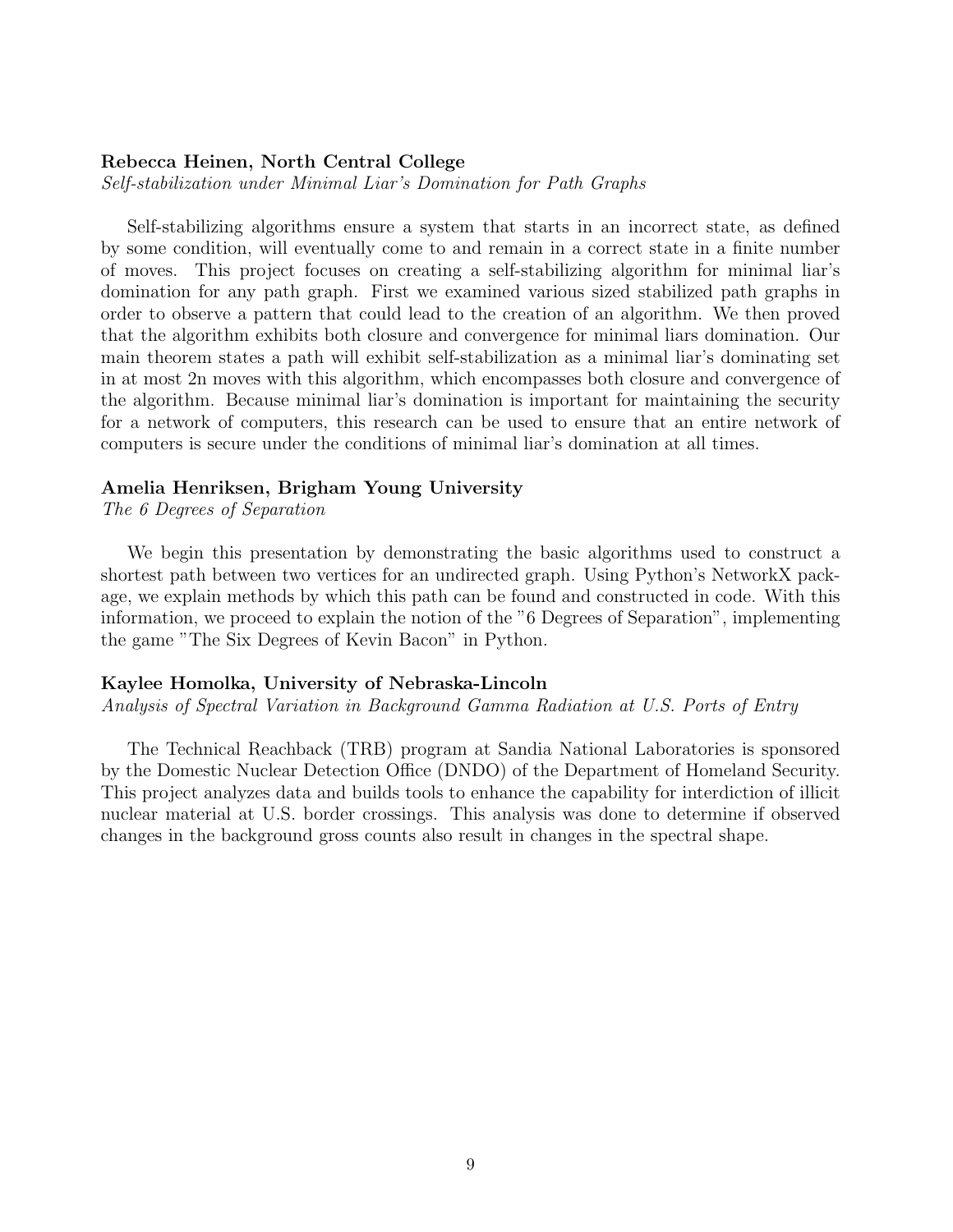#### Rebecca Heinen, North Central College

Self-stabilization under Minimal Liar's Domination for Path Graphs

Self-stabilizing algorithms ensure a system that starts in an incorrect state, as defined by some condition, will eventually come to and remain in a correct state in a finite number of moves. This project focuses on creating a self-stabilizing algorithm for minimal liar's domination for any path graph. First we examined various sized stabilized path graphs in order to observe a pattern that could lead to the creation of an algorithm. We then proved that the algorithm exhibits both closure and convergence for minimal liars domination. Our main theorem states a path will exhibit self-stabilization as a minimal liar's dominating set in at most 2n moves with this algorithm, which encompasses both closure and convergence of the algorithm. Because minimal liar's domination is important for maintaining the security for a network of computers, this research can be used to ensure that an entire network of computers is secure under the conditions of minimal liar's domination at all times.

#### Amelia Henriksen, Brigham Young University

The 6 Degrees of Separation

We begin this presentation by demonstrating the basic algorithms used to construct a shortest path between two vertices for an undirected graph. Using Python's NetworkX package, we explain methods by which this path can be found and constructed in code. With this information, we proceed to explain the notion of the "6 Degrees of Separation", implementing the game "The Six Degrees of Kevin Bacon" in Python.

#### Kaylee Homolka, University of Nebraska-Lincoln

Analysis of Spectral Variation in Background Gamma Radiation at U.S. Ports of Entry

The Technical Reachback (TRB) program at Sandia National Laboratories is sponsored by the Domestic Nuclear Detection Office (DNDO) of the Department of Homeland Security. This project analyzes data and builds tools to enhance the capability for interdiction of illicit nuclear material at U.S. border crossings. This analysis was done to determine if observed changes in the background gross counts also result in changes in the spectral shape.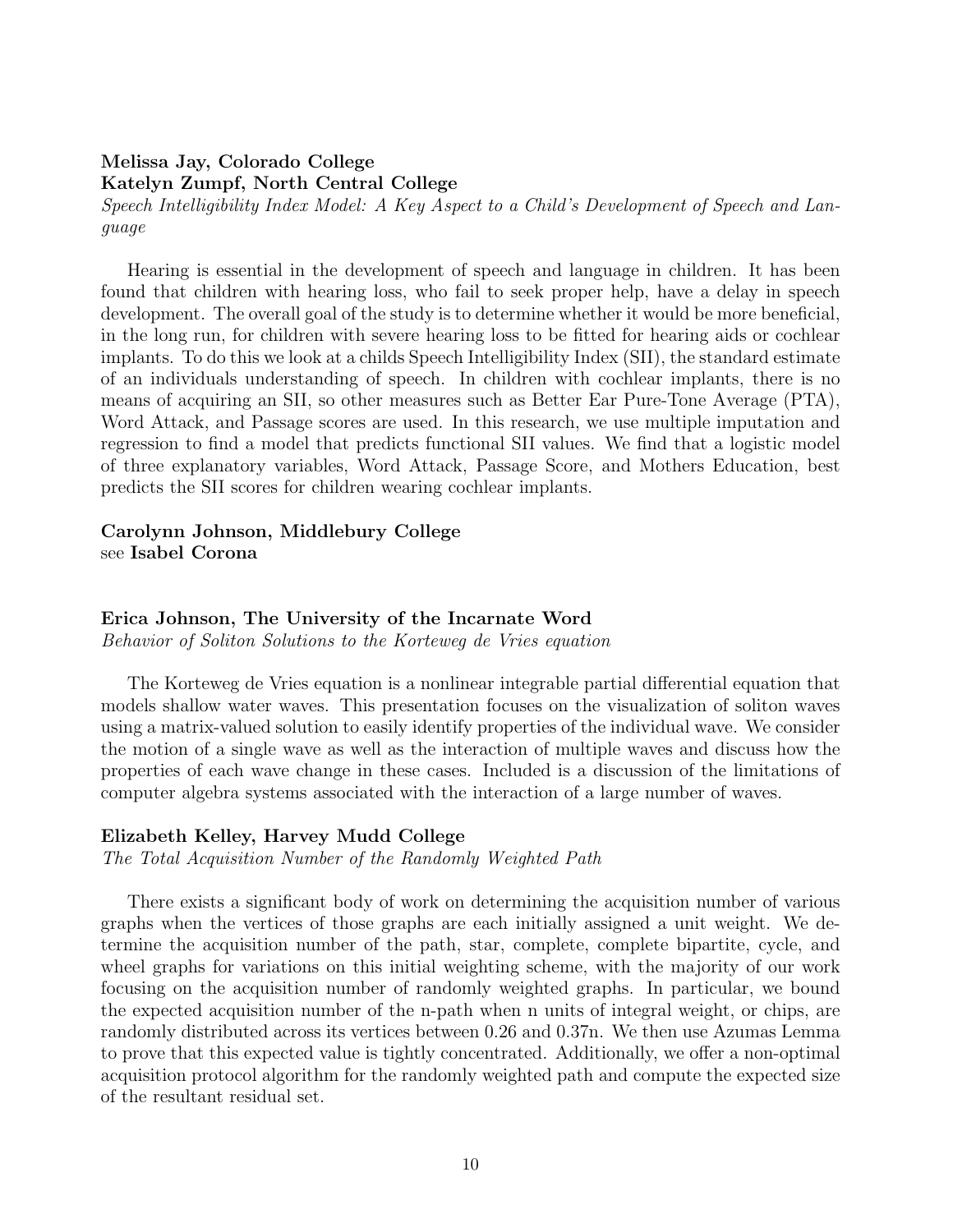## Melissa Jay, Colorado College Katelyn Zumpf, North Central College

Speech Intelligibility Index Model: A Key Aspect to a Child's Development of Speech and Language

Hearing is essential in the development of speech and language in children. It has been found that children with hearing loss, who fail to seek proper help, have a delay in speech development. The overall goal of the study is to determine whether it would be more beneficial, in the long run, for children with severe hearing loss to be fitted for hearing aids or cochlear implants. To do this we look at a childs Speech Intelligibility Index (SII), the standard estimate of an individuals understanding of speech. In children with cochlear implants, there is no means of acquiring an SII, so other measures such as Better Ear Pure-Tone Average (PTA), Word Attack, and Passage scores are used. In this research, we use multiple imputation and regression to find a model that predicts functional SII values. We find that a logistic model of three explanatory variables, Word Attack, Passage Score, and Mothers Education, best predicts the SII scores for children wearing cochlear implants.

#### Carolynn Johnson, Middlebury College see Isabel Corona

#### Erica Johnson, The University of the Incarnate Word

Behavior of Soliton Solutions to the Korteweg de Vries equation

The Korteweg de Vries equation is a nonlinear integrable partial differential equation that models shallow water waves. This presentation focuses on the visualization of soliton waves using a matrix-valued solution to easily identify properties of the individual wave. We consider the motion of a single wave as well as the interaction of multiple waves and discuss how the properties of each wave change in these cases. Included is a discussion of the limitations of computer algebra systems associated with the interaction of a large number of waves.

#### Elizabeth Kelley, Harvey Mudd College

The Total Acquisition Number of the Randomly Weighted Path

There exists a significant body of work on determining the acquisition number of various graphs when the vertices of those graphs are each initially assigned a unit weight. We determine the acquisition number of the path, star, complete, complete bipartite, cycle, and wheel graphs for variations on this initial weighting scheme, with the majority of our work focusing on the acquisition number of randomly weighted graphs. In particular, we bound the expected acquisition number of the n-path when n units of integral weight, or chips, are randomly distributed across its vertices between 0.26 and 0.37n. We then use Azumas Lemma to prove that this expected value is tightly concentrated. Additionally, we offer a non-optimal acquisition protocol algorithm for the randomly weighted path and compute the expected size of the resultant residual set.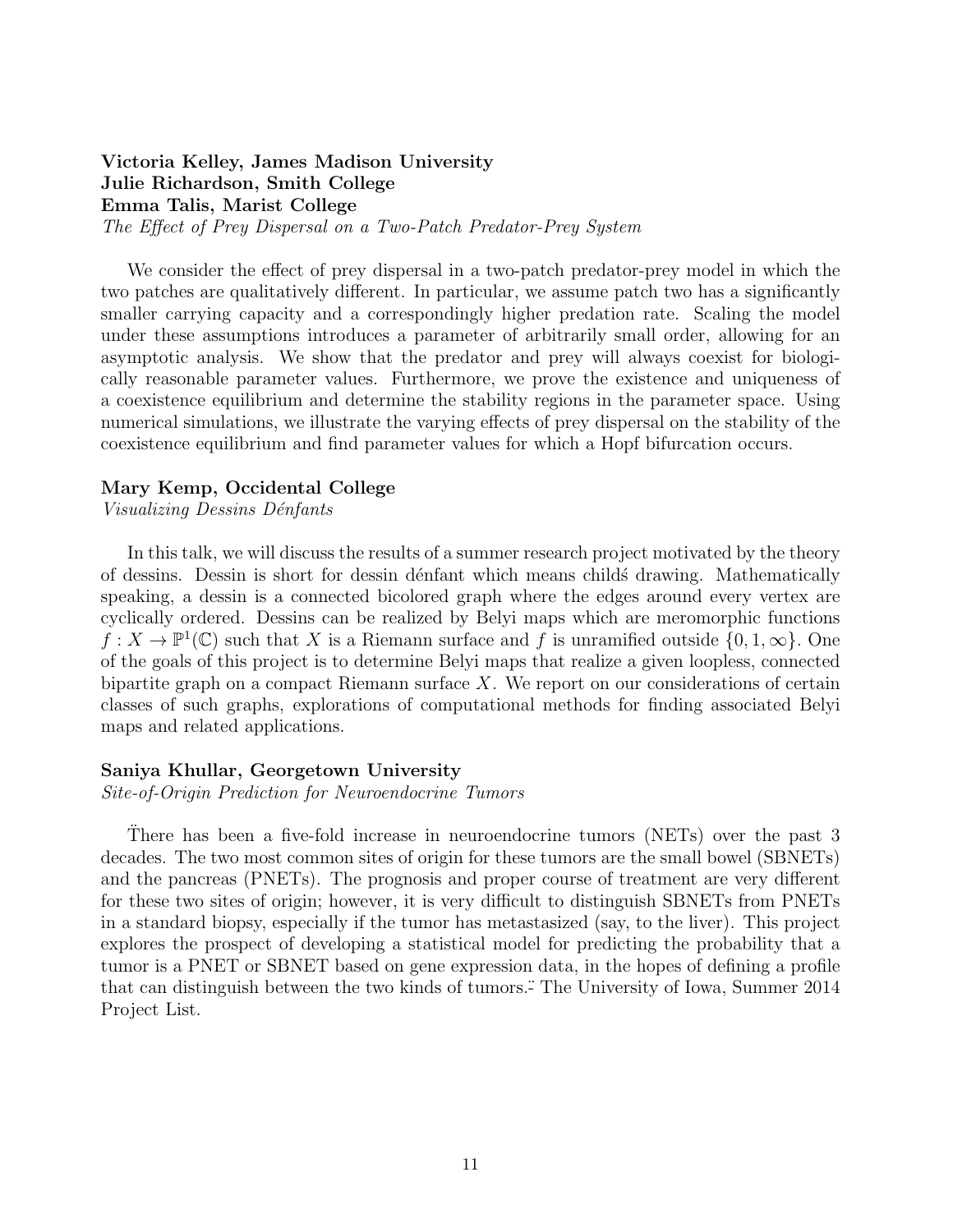## Victoria Kelley, James Madison University Julie Richardson, Smith College Emma Talis, Marist College The Effect of Prey Dispersal on a Two-Patch Predator-Prey System

We consider the effect of prey dispersal in a two-patch predator-prey model in which the two patches are qualitatively different. In particular, we assume patch two has a significantly smaller carrying capacity and a correspondingly higher predation rate. Scaling the model under these assumptions introduces a parameter of arbitrarily small order, allowing for an asymptotic analysis. We show that the predator and prey will always coexist for biologically reasonable parameter values. Furthermore, we prove the existence and uniqueness of a coexistence equilibrium and determine the stability regions in the parameter space. Using numerical simulations, we illustrate the varying effects of prey dispersal on the stability of the coexistence equilibrium and find parameter values for which a Hopf bifurcation occurs.

#### Mary Kemp, Occidental College

Visualizing Dessins Dénfants

In this talk, we will discuss the results of a summer research project motivated by the theory of dessins. Dessin is short for dessin dénfant which means childs drawing. Mathematically speaking, a dessin is a connected bicolored graph where the edges around every vertex are cyclically ordered. Dessins can be realized by Belyi maps which are meromorphic functions  $f: X \to \mathbb{P}^1(\mathbb{C})$  such that X is a Riemann surface and f is unramified outside  $\{0, 1, \infty\}$ . One of the goals of this project is to determine Belyi maps that realize a given loopless, connected bipartite graph on a compact Riemann surface X. We report on our considerations of certain classes of such graphs, explorations of computational methods for finding associated Belyi maps and related applications.

#### Saniya Khullar, Georgetown University

Site-of-Origin Prediction for Neuroendocrine Tumors

There has been a five-fold increase in neuroendocrine tumors (NETs) over the past 3 decades. The two most common sites of origin for these tumors are the small bowel (SBNETs) and the pancreas (PNETs). The prognosis and proper course of treatment are very different for these two sites of origin; however, it is very difficult to distinguish SBNETs from PNETs in a standard biopsy, especially if the tumor has metastasized (say, to the liver). This project explores the prospect of developing a statistical model for predicting the probability that a tumor is a PNET or SBNET based on gene expression data, in the hopes of defining a profile that can distinguish between the two kinds of tumors.¨- The University of Iowa, Summer 2014 Project List.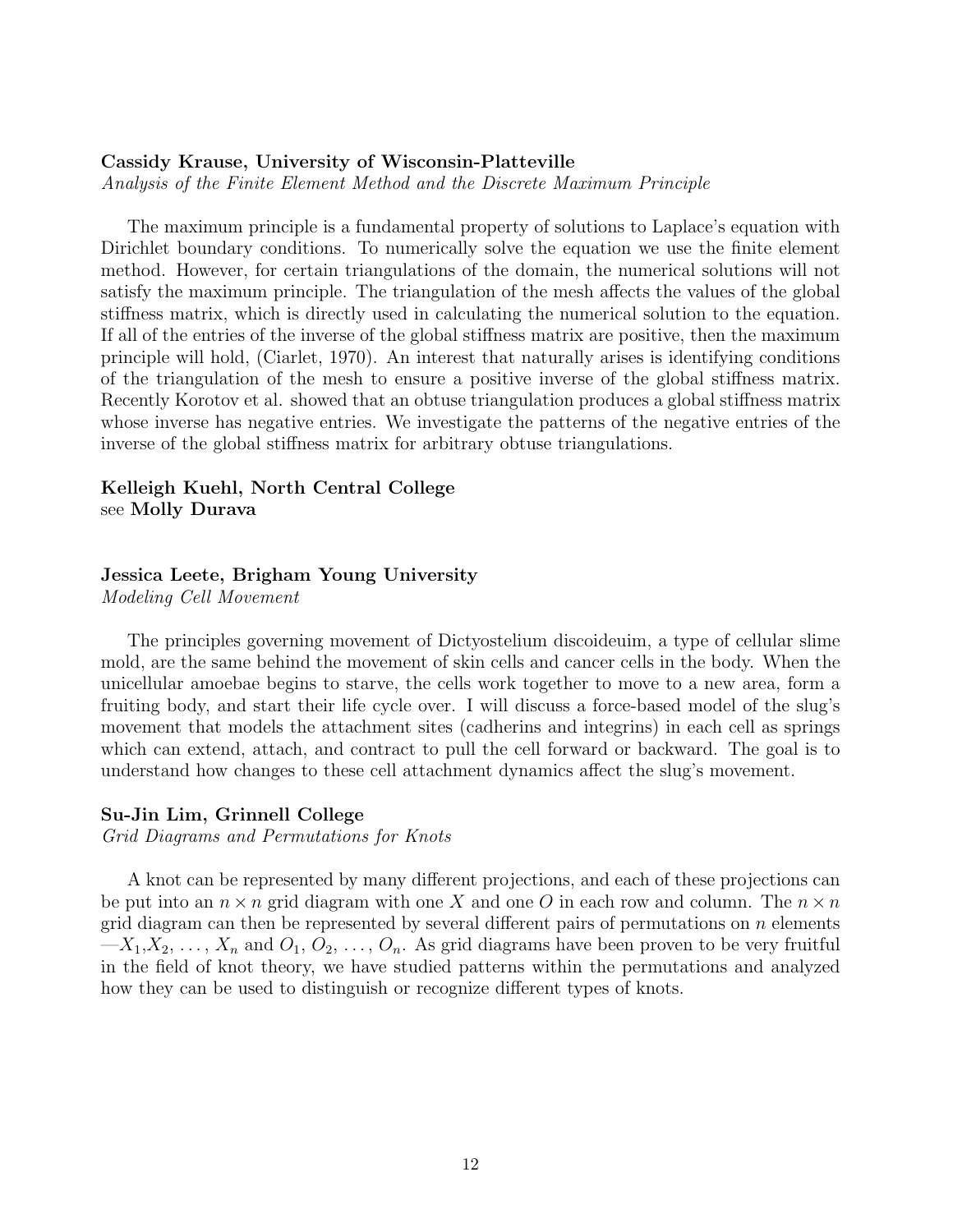#### Cassidy Krause, University of Wisconsin-Platteville

Analysis of the Finite Element Method and the Discrete Maximum Principle

The maximum principle is a fundamental property of solutions to Laplace's equation with Dirichlet boundary conditions. To numerically solve the equation we use the finite element method. However, for certain triangulations of the domain, the numerical solutions will not satisfy the maximum principle. The triangulation of the mesh affects the values of the global stiffness matrix, which is directly used in calculating the numerical solution to the equation. If all of the entries of the inverse of the global stiffness matrix are positive, then the maximum principle will hold, (Ciarlet, 1970). An interest that naturally arises is identifying conditions of the triangulation of the mesh to ensure a positive inverse of the global stiffness matrix. Recently Korotov et al. showed that an obtuse triangulation produces a global stiffness matrix whose inverse has negative entries. We investigate the patterns of the negative entries of the inverse of the global stiffness matrix for arbitrary obtuse triangulations.

#### Kelleigh Kuehl, North Central College see Molly Durava

#### Jessica Leete, Brigham Young University

Modeling Cell Movement

The principles governing movement of Dictyostelium discoideuim, a type of cellular slime mold, are the same behind the movement of skin cells and cancer cells in the body. When the unicellular amoebae begins to starve, the cells work together to move to a new area, form a fruiting body, and start their life cycle over. I will discuss a force-based model of the slug's movement that models the attachment sites (cadherins and integrins) in each cell as springs which can extend, attach, and contract to pull the cell forward or backward. The goal is to understand how changes to these cell attachment dynamics affect the slug's movement.

#### Su-Jin Lim, Grinnell College

Grid Diagrams and Permutations for Knots

A knot can be represented by many different projections, and each of these projections can be put into an  $n \times n$  grid diagram with one X and one O in each row and column. The  $n \times n$ grid diagram can then be represented by several different pairs of permutations on  $n$  elements  $-X_1, X_2, \ldots, X_n$  and  $O_1, O_2, \ldots, O_n$ . As grid diagrams have been proven to be very fruitful in the field of knot theory, we have studied patterns within the permutations and analyzed how they can be used to distinguish or recognize different types of knots.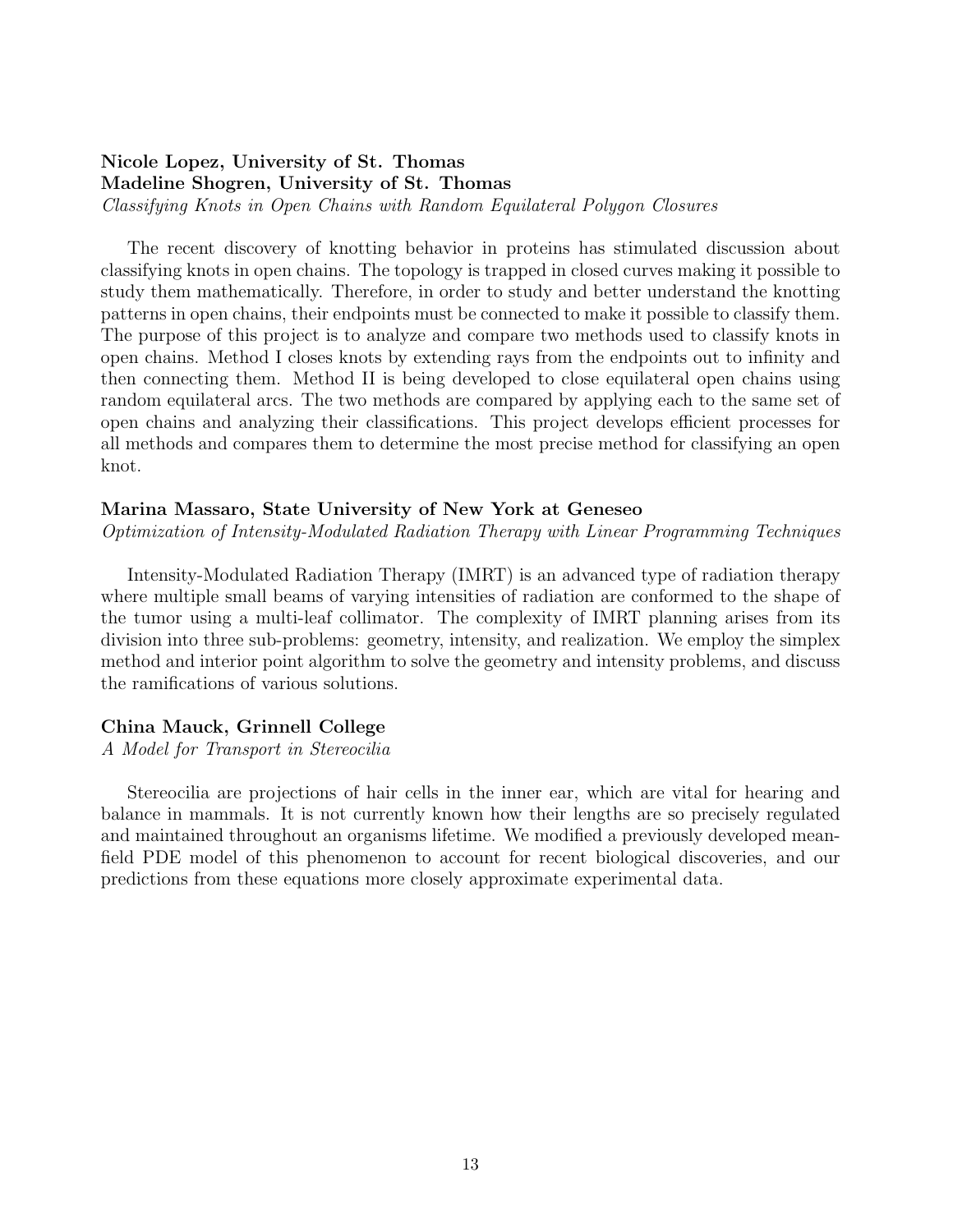## Nicole Lopez, University of St. Thomas Madeline Shogren, University of St. Thomas Classifying Knots in Open Chains with Random Equilateral Polygon Closures

The recent discovery of knotting behavior in proteins has stimulated discussion about classifying knots in open chains. The topology is trapped in closed curves making it possible to study them mathematically. Therefore, in order to study and better understand the knotting patterns in open chains, their endpoints must be connected to make it possible to classify them. The purpose of this project is to analyze and compare two methods used to classify knots in open chains. Method I closes knots by extending rays from the endpoints out to infinity and then connecting them. Method II is being developed to close equilateral open chains using random equilateral arcs. The two methods are compared by applying each to the same set of open chains and analyzing their classifications. This project develops efficient processes for all methods and compares them to determine the most precise method for classifying an open knot.

#### Marina Massaro, State University of New York at Geneseo

Optimization of Intensity-Modulated Radiation Therapy with Linear Programming Techniques

Intensity-Modulated Radiation Therapy (IMRT) is an advanced type of radiation therapy where multiple small beams of varying intensities of radiation are conformed to the shape of the tumor using a multi-leaf collimator. The complexity of IMRT planning arises from its division into three sub-problems: geometry, intensity, and realization. We employ the simplex method and interior point algorithm to solve the geometry and intensity problems, and discuss the ramifications of various solutions.

#### China Mauck, Grinnell College

A Model for Transport in Stereocilia

Stereocilia are projections of hair cells in the inner ear, which are vital for hearing and balance in mammals. It is not currently known how their lengths are so precisely regulated and maintained throughout an organisms lifetime. We modified a previously developed meanfield PDE model of this phenomenon to account for recent biological discoveries, and our predictions from these equations more closely approximate experimental data.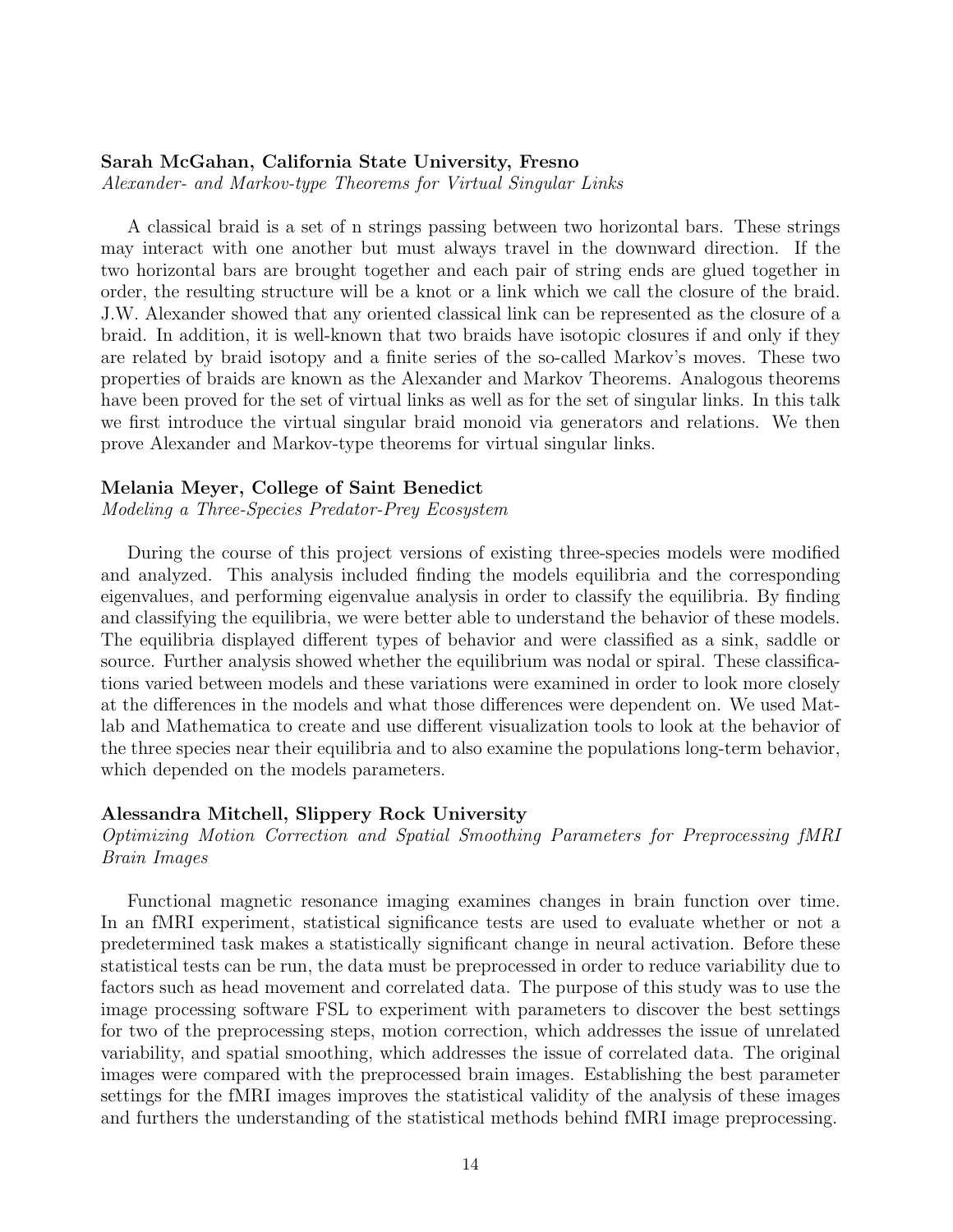## Sarah McGahan, California State University, Fresno

Alexander- and Markov-type Theorems for Virtual Singular Links

A classical braid is a set of n strings passing between two horizontal bars. These strings may interact with one another but must always travel in the downward direction. If the two horizontal bars are brought together and each pair of string ends are glued together in order, the resulting structure will be a knot or a link which we call the closure of the braid. J.W. Alexander showed that any oriented classical link can be represented as the closure of a braid. In addition, it is well-known that two braids have isotopic closures if and only if they are related by braid isotopy and a finite series of the so-called Markov's moves. These two properties of braids are known as the Alexander and Markov Theorems. Analogous theorems have been proved for the set of virtual links as well as for the set of singular links. In this talk we first introduce the virtual singular braid monoid via generators and relations. We then prove Alexander and Markov-type theorems for virtual singular links.

#### Melania Meyer, College of Saint Benedict

Modeling a Three-Species Predator-Prey Ecosystem

During the course of this project versions of existing three-species models were modified and analyzed. This analysis included finding the models equilibria and the corresponding eigenvalues, and performing eigenvalue analysis in order to classify the equilibria. By finding and classifying the equilibria, we were better able to understand the behavior of these models. The equilibria displayed different types of behavior and were classified as a sink, saddle or source. Further analysis showed whether the equilibrium was nodal or spiral. These classifications varied between models and these variations were examined in order to look more closely at the differences in the models and what those differences were dependent on. We used Matlab and Mathematica to create and use different visualization tools to look at the behavior of the three species near their equilibria and to also examine the populations long-term behavior, which depended on the models parameters.

#### Alessandra Mitchell, Slippery Rock University

Optimizing Motion Correction and Spatial Smoothing Parameters for Preprocessing fMRI Brain Images

Functional magnetic resonance imaging examines changes in brain function over time. In an fMRI experiment, statistical significance tests are used to evaluate whether or not a predetermined task makes a statistically significant change in neural activation. Before these statistical tests can be run, the data must be preprocessed in order to reduce variability due to factors such as head movement and correlated data. The purpose of this study was to use the image processing software FSL to experiment with parameters to discover the best settings for two of the preprocessing steps, motion correction, which addresses the issue of unrelated variability, and spatial smoothing, which addresses the issue of correlated data. The original images were compared with the preprocessed brain images. Establishing the best parameter settings for the fMRI images improves the statistical validity of the analysis of these images and furthers the understanding of the statistical methods behind fMRI image preprocessing.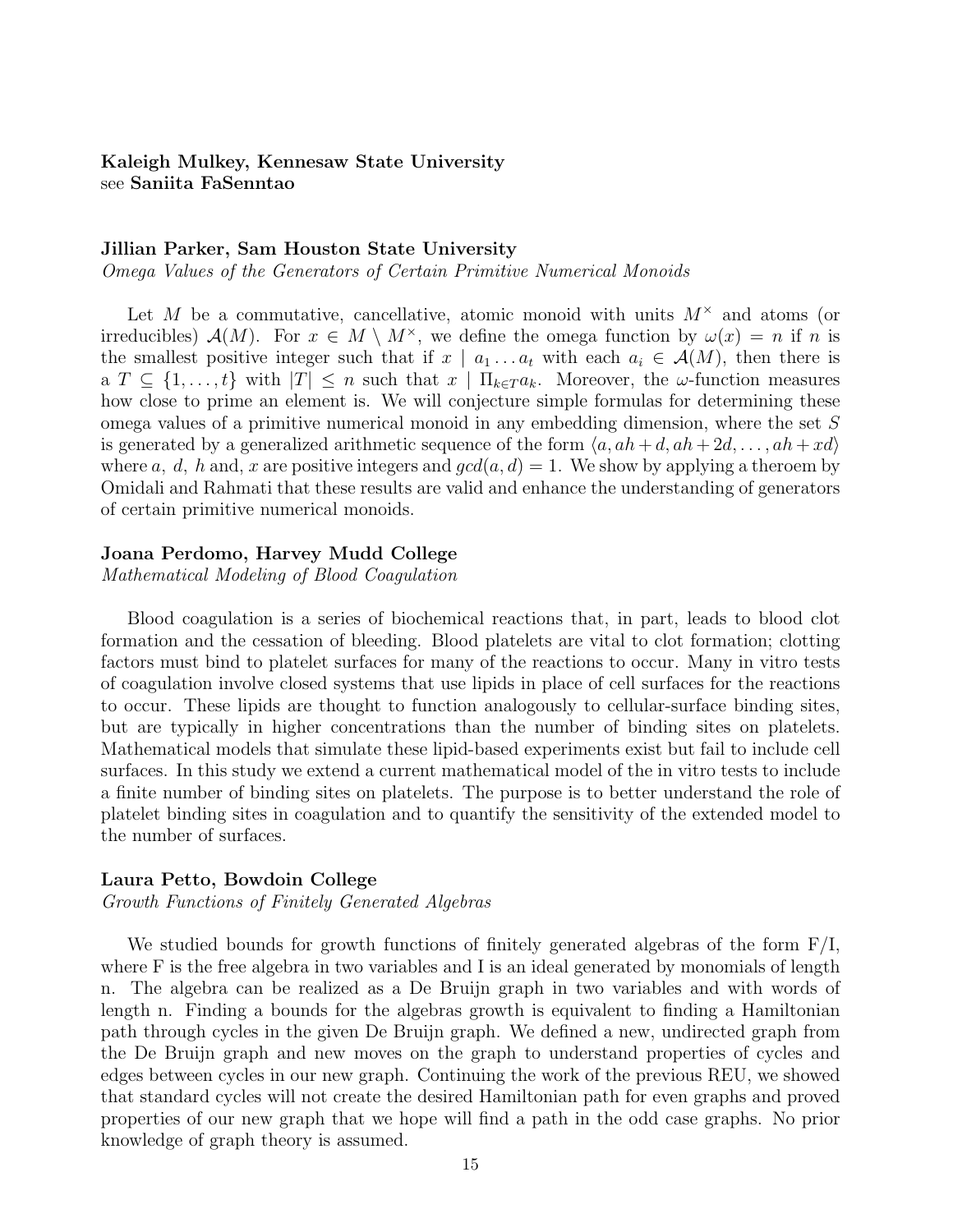#### Kaleigh Mulkey, Kennesaw State University see Saniita FaSenntao

#### Jillian Parker, Sam Houston State University

Omega Values of the Generators of Certain Primitive Numerical Monoids

Let M be a commutative, cancellative, atomic monoid with units  $M^{\times}$  and atoms (or irreducibles)  $\mathcal{A}(M)$ . For  $x \in M \setminus M^{\times}$ , we define the omega function by  $\omega(x) = n$  if n is the smallest positive integer such that if  $x \mid a_1 \ldots a_t$  with each  $a_i \in \mathcal{A}(M)$ , then there is a  $T \subseteq \{1, \ldots, t\}$  with  $|T| \leq n$  such that  $x \mid \prod_{k \in T} a_k$ . Moreover, the  $\omega$ -function measures how close to prime an element is. We will conjecture simple formulas for determining these omega values of a primitive numerical monoid in any embedding dimension, where the set S is generated by a generalized arithmetic sequence of the form  $\langle a, ah + d, ah + 2d, \ldots, ah + xd \rangle$ where a, d, h and, x are positive integers and  $gcd(a, d) = 1$ . We show by applying a theroem by Omidali and Rahmati that these results are valid and enhance the understanding of generators of certain primitive numerical monoids.

#### Joana Perdomo, Harvey Mudd College

Mathematical Modeling of Blood Coagulation

Blood coagulation is a series of biochemical reactions that, in part, leads to blood clot formation and the cessation of bleeding. Blood platelets are vital to clot formation; clotting factors must bind to platelet surfaces for many of the reactions to occur. Many in vitro tests of coagulation involve closed systems that use lipids in place of cell surfaces for the reactions to occur. These lipids are thought to function analogously to cellular-surface binding sites, but are typically in higher concentrations than the number of binding sites on platelets. Mathematical models that simulate these lipid-based experiments exist but fail to include cell surfaces. In this study we extend a current mathematical model of the in vitro tests to include a finite number of binding sites on platelets. The purpose is to better understand the role of platelet binding sites in coagulation and to quantify the sensitivity of the extended model to the number of surfaces.

#### Laura Petto, Bowdoin College

Growth Functions of Finitely Generated Algebras

We studied bounds for growth functions of finitely generated algebras of the form  $F/I$ , where F is the free algebra in two variables and I is an ideal generated by monomials of length n. The algebra can be realized as a De Bruijn graph in two variables and with words of length n. Finding a bounds for the algebras growth is equivalent to finding a Hamiltonian path through cycles in the given De Bruijn graph. We defined a new, undirected graph from the De Bruijn graph and new moves on the graph to understand properties of cycles and edges between cycles in our new graph. Continuing the work of the previous REU, we showed that standard cycles will not create the desired Hamiltonian path for even graphs and proved properties of our new graph that we hope will find a path in the odd case graphs. No prior knowledge of graph theory is assumed.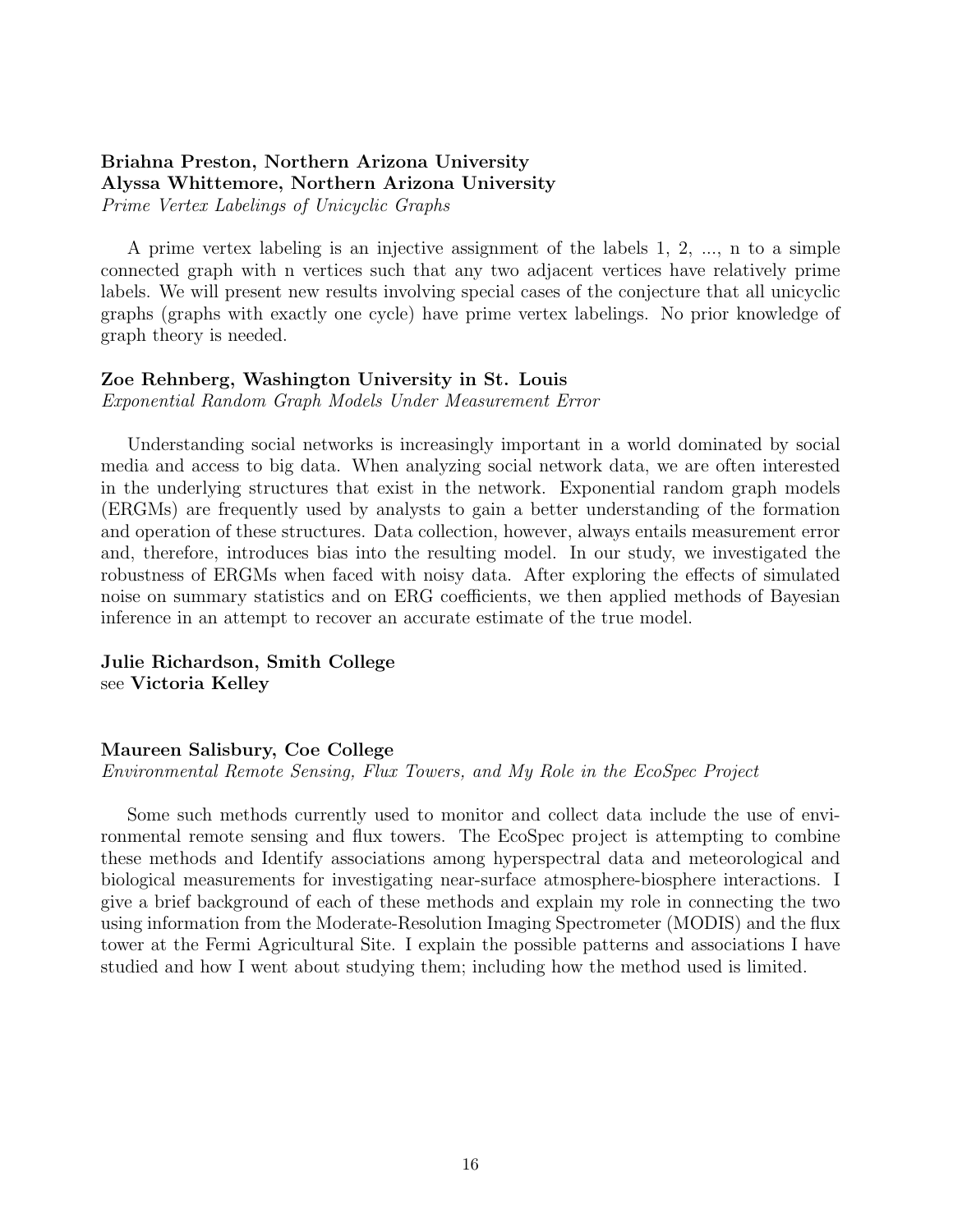## Briahna Preston, Northern Arizona University Alyssa Whittemore, Northern Arizona University

Prime Vertex Labelings of Unicyclic Graphs

A prime vertex labeling is an injective assignment of the labels 1, 2, ..., n to a simple connected graph with n vertices such that any two adjacent vertices have relatively prime labels. We will present new results involving special cases of the conjecture that all unicyclic graphs (graphs with exactly one cycle) have prime vertex labelings. No prior knowledge of graph theory is needed.

## Zoe Rehnberg, Washington University in St. Louis

Exponential Random Graph Models Under Measurement Error

Understanding social networks is increasingly important in a world dominated by social media and access to big data. When analyzing social network data, we are often interested in the underlying structures that exist in the network. Exponential random graph models (ERGMs) are frequently used by analysts to gain a better understanding of the formation and operation of these structures. Data collection, however, always entails measurement error and, therefore, introduces bias into the resulting model. In our study, we investigated the robustness of ERGMs when faced with noisy data. After exploring the effects of simulated noise on summary statistics and on ERG coefficients, we then applied methods of Bayesian inference in an attempt to recover an accurate estimate of the true model.

Julie Richardson, Smith College see Victoria Kelley

#### Maureen Salisbury, Coe College

Environmental Remote Sensing, Flux Towers, and My Role in the EcoSpec Project

Some such methods currently used to monitor and collect data include the use of environmental remote sensing and flux towers. The EcoSpec project is attempting to combine these methods and Identify associations among hyperspectral data and meteorological and biological measurements for investigating near-surface atmosphere-biosphere interactions. I give a brief background of each of these methods and explain my role in connecting the two using information from the Moderate-Resolution Imaging Spectrometer (MODIS) and the flux tower at the Fermi Agricultural Site. I explain the possible patterns and associations I have studied and how I went about studying them; including how the method used is limited.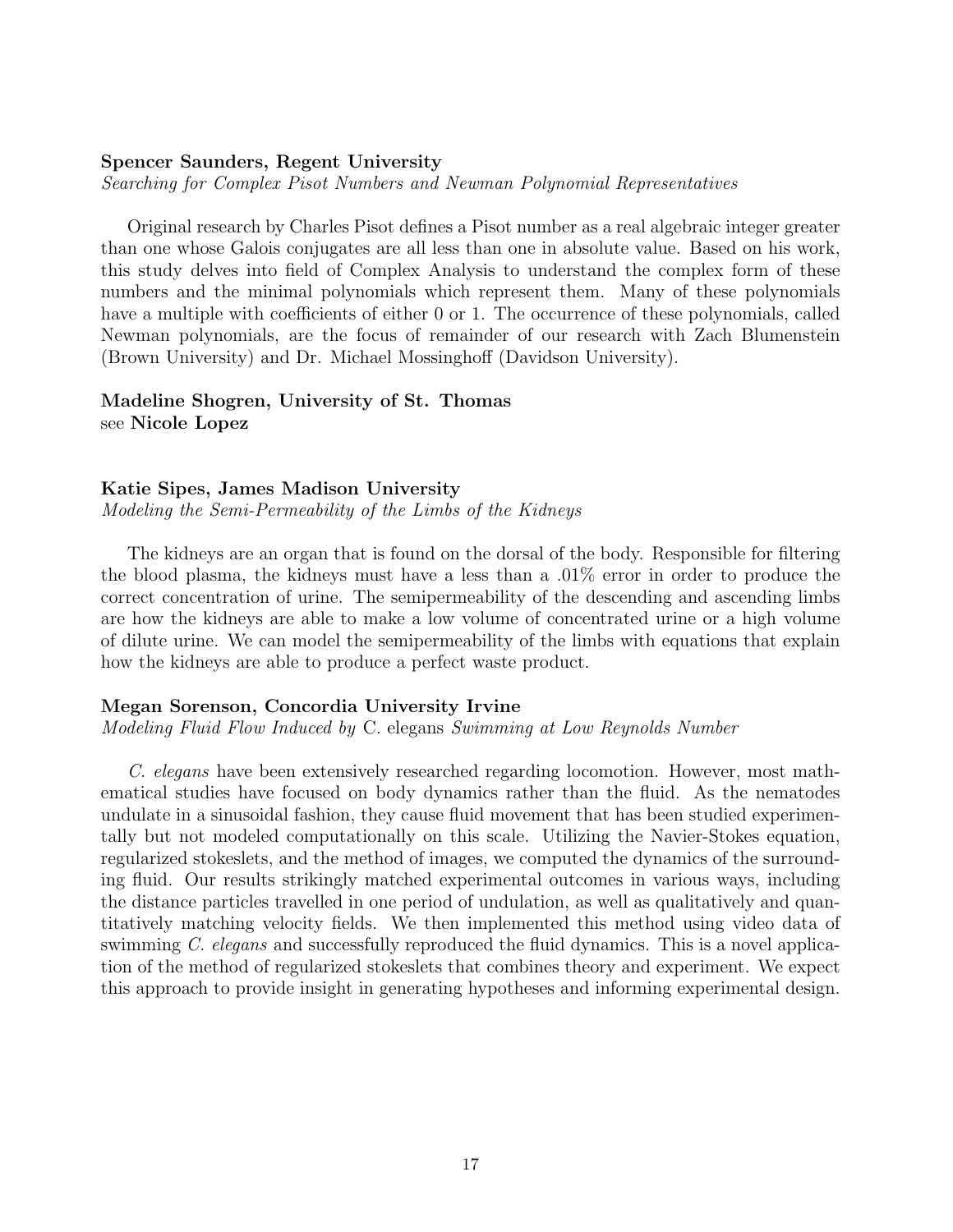#### Spencer Saunders, Regent University

Searching for Complex Pisot Numbers and Newman Polynomial Representatives

Original research by Charles Pisot defines a Pisot number as a real algebraic integer greater than one whose Galois conjugates are all less than one in absolute value. Based on his work, this study delves into field of Complex Analysis to understand the complex form of these numbers and the minimal polynomials which represent them. Many of these polynomials have a multiple with coefficients of either 0 or 1. The occurrence of these polynomials, called Newman polynomials, are the focus of remainder of our research with Zach Blumenstein (Brown University) and Dr. Michael Mossinghoff (Davidson University).

Madeline Shogren, University of St. Thomas see Nicole Lopez

#### Katie Sipes, James Madison University

Modeling the Semi-Permeability of the Limbs of the Kidneys

The kidneys are an organ that is found on the dorsal of the body. Responsible for filtering the blood plasma, the kidneys must have a less than a .01% error in order to produce the correct concentration of urine. The semipermeability of the descending and ascending limbs are how the kidneys are able to make a low volume of concentrated urine or a high volume of dilute urine. We can model the semipermeability of the limbs with equations that explain how the kidneys are able to produce a perfect waste product.

#### Megan Sorenson, Concordia University Irvine

Modeling Fluid Flow Induced by C. elegans Swimming at Low Reynolds Number

C. elegans have been extensively researched regarding locomotion. However, most mathematical studies have focused on body dynamics rather than the fluid. As the nematodes undulate in a sinusoidal fashion, they cause fluid movement that has been studied experimentally but not modeled computationally on this scale. Utilizing the Navier-Stokes equation, regularized stokeslets, and the method of images, we computed the dynamics of the surrounding fluid. Our results strikingly matched experimental outcomes in various ways, including the distance particles travelled in one period of undulation, as well as qualitatively and quantitatively matching velocity fields. We then implemented this method using video data of swimming C. elegans and successfully reproduced the fluid dynamics. This is a novel application of the method of regularized stokeslets that combines theory and experiment. We expect this approach to provide insight in generating hypotheses and informing experimental design.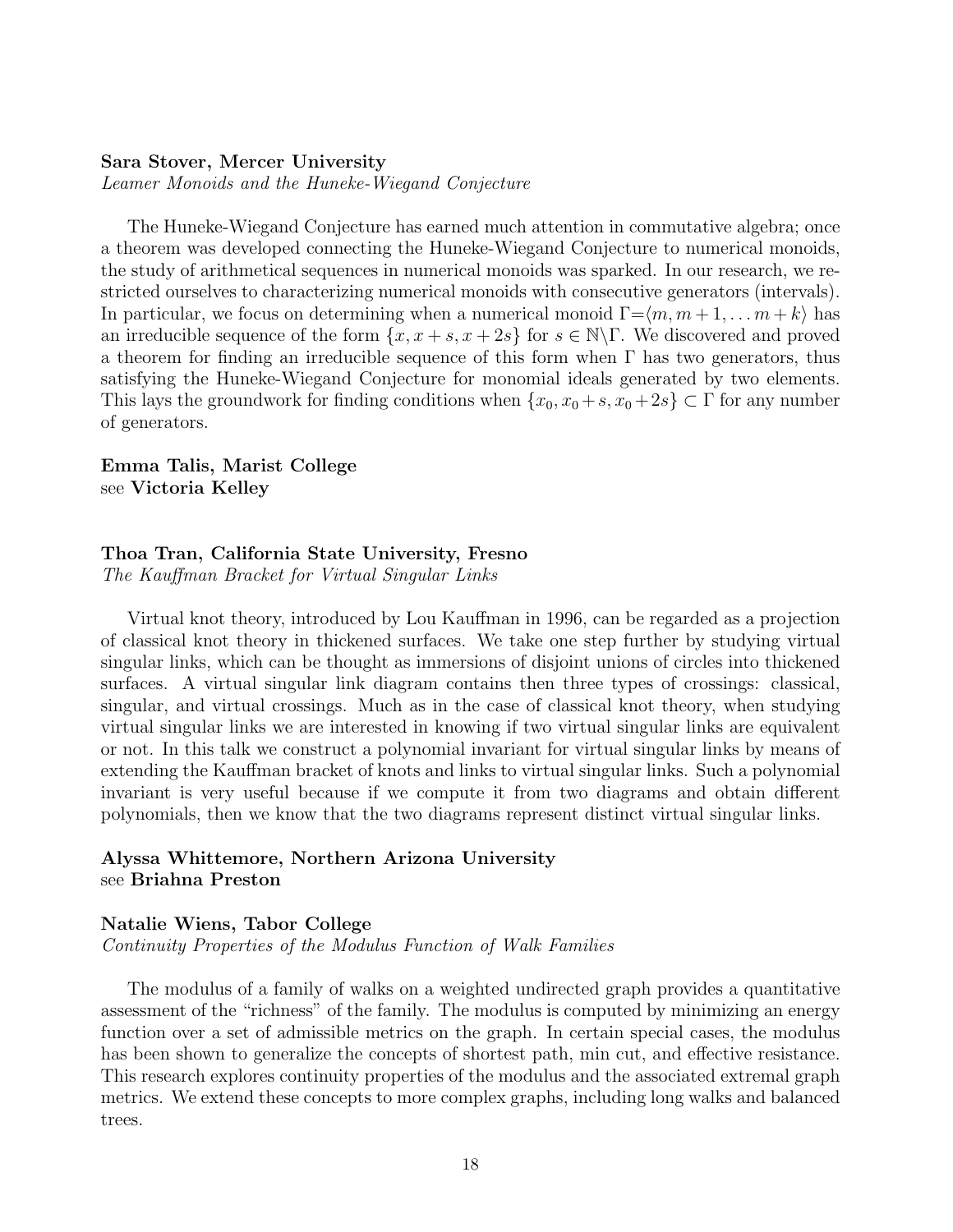#### Sara Stover, Mercer University

Leamer Monoids and the Huneke-Wiegand Conjecture

The Huneke-Wiegand Conjecture has earned much attention in commutative algebra; once a theorem was developed connecting the Huneke-Wiegand Conjecture to numerical monoids, the study of arithmetical sequences in numerical monoids was sparked. In our research, we restricted ourselves to characterizing numerical monoids with consecutive generators (intervals). In particular, we focus on determining when a numerical monoid  $\Gamma = \langle m, m + 1, \ldots m + k \rangle$  has an irreducible sequence of the form  $\{x, x + s, x + 2s\}$  for  $s \in \mathbb{N}\backslash\Gamma$ . We discovered and proved a theorem for finding an irreducible sequence of this form when Γ has two generators, thus satisfying the Huneke-Wiegand Conjecture for monomial ideals generated by two elements. This lays the groundwork for finding conditions when  $\{x_0, x_0 + s, x_0 + 2s\} \subset \Gamma$  for any number of generators.

Emma Talis, Marist College see Victoria Kelley

#### Thoa Tran, California State University, Fresno

The Kauffman Bracket for Virtual Singular Links

Virtual knot theory, introduced by Lou Kauffman in 1996, can be regarded as a projection of classical knot theory in thickened surfaces. We take one step further by studying virtual singular links, which can be thought as immersions of disjoint unions of circles into thickened surfaces. A virtual singular link diagram contains then three types of crossings: classical, singular, and virtual crossings. Much as in the case of classical knot theory, when studying virtual singular links we are interested in knowing if two virtual singular links are equivalent or not. In this talk we construct a polynomial invariant for virtual singular links by means of extending the Kauffman bracket of knots and links to virtual singular links. Such a polynomial invariant is very useful because if we compute it from two diagrams and obtain different polynomials, then we know that the two diagrams represent distinct virtual singular links.

#### Alyssa Whittemore, Northern Arizona University see Briahna Preston

#### Natalie Wiens, Tabor College

Continuity Properties of the Modulus Function of Walk Families

The modulus of a family of walks on a weighted undirected graph provides a quantitative assessment of the "richness" of the family. The modulus is computed by minimizing an energy function over a set of admissible metrics on the graph. In certain special cases, the modulus has been shown to generalize the concepts of shortest path, min cut, and effective resistance. This research explores continuity properties of the modulus and the associated extremal graph metrics. We extend these concepts to more complex graphs, including long walks and balanced trees.